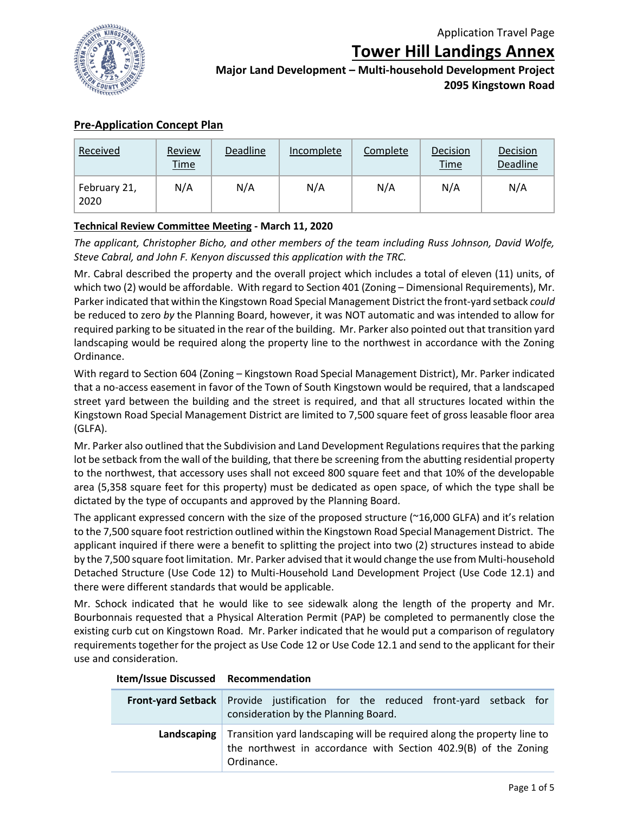

**Tower Hill Landings Annex**

**Major Land Development – Multi-household Development Project 2095 Kingstown Road**

# **Pre-Application Concept Plan**

| Received             | Review<br><b>Time</b> | Deadline | Incomplete | Complete | Decision<br><b>Time</b> | Decision<br>Deadline |
|----------------------|-----------------------|----------|------------|----------|-------------------------|----------------------|
| February 21,<br>2020 | N/A                   | N/A      | N/A        | N/A      | N/A                     | N/A                  |

### **Technical Review Committee Meeting - March 11, 2020**

*The applicant, Christopher Bicho, and other members of the team including Russ Johnson, David Wolfe, Steve Cabral, and John F. Kenyon discussed this application with the TRC.*

Mr. Cabral described the property and the overall project which includes a total of eleven (11) units, of which two (2) would be affordable. With regard to Section 401 (Zoning – Dimensional Requirements), Mr. Parker indicated that within the Kingstown Road Special Management District the front-yard setback *could*  be reduced to zero *by* the Planning Board, however, it was NOT automatic and was intended to allow for required parking to be situated in the rear of the building. Mr. Parker also pointed out that transition yard landscaping would be required along the property line to the northwest in accordance with the Zoning Ordinance.

With regard to Section 604 (Zoning – Kingstown Road Special Management District), Mr. Parker indicated that a no-access easement in favor of the Town of South Kingstown would be required, that a landscaped street yard between the building and the street is required, and that all structures located within the Kingstown Road Special Management District are limited to 7,500 square feet of gross leasable floor area (GLFA).

Mr. Parker also outlined that the Subdivision and Land Development Regulations requires that the parking lot be setback from the wall of the building, that there be screening from the abutting residential property to the northwest, that accessory uses shall not exceed 800 square feet and that 10% of the developable area (5,358 square feet for this property) must be dedicated as open space, of which the type shall be dictated by the type of occupants and approved by the Planning Board.

The applicant expressed concern with the size of the proposed structure (~16,000 GLFA) and it's relation to the 7,500 square foot restriction outlined within the Kingstown Road Special Management District. The applicant inquired if there were a benefit to splitting the project into two (2) structures instead to abide by the 7,500 square foot limitation. Mr. Parker advised that it would change the use from Multi-household Detached Structure (Use Code 12) to Multi-Household Land Development Project (Use Code 12.1) and there were different standards that would be applicable.

Mr. Schock indicated that he would like to see sidewalk along the length of the property and Mr. Bourbonnais requested that a Physical Alteration Permit (PAP) be completed to permanently close the existing curb cut on Kingstown Road. Mr. Parker indicated that he would put a comparison of regulatory requirements together for the project as Use Code 12 or Use Code 12.1 and send to the applicant for their use and consideration.

| Front-yard Setback Provide justification for the reduced front-yard setback for<br>consideration by the Planning Board.                                                |
|------------------------------------------------------------------------------------------------------------------------------------------------------------------------|
| Landscaping   Transition yard landscaping will be required along the property line to<br>the northwest in accordance with Section 402.9(B) of the Zoning<br>Ordinance. |

### **Item/Issue Discussed Recommendation**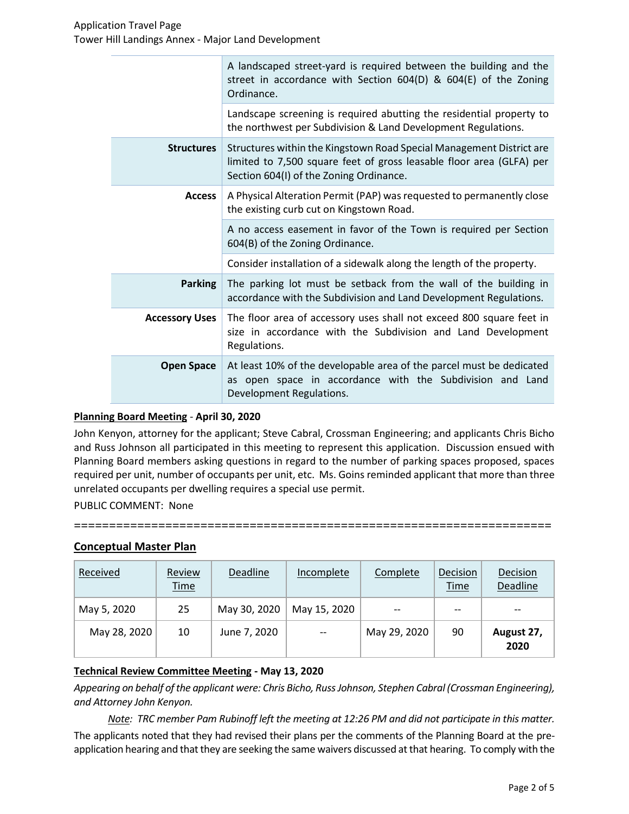|                       | A landscaped street-yard is required between the building and the<br>street in accordance with Section 604(D) & 604(E) of the Zoning<br>Ordinance.                                      |
|-----------------------|-----------------------------------------------------------------------------------------------------------------------------------------------------------------------------------------|
|                       | Landscape screening is required abutting the residential property to<br>the northwest per Subdivision & Land Development Regulations.                                                   |
| <b>Structures</b>     | Structures within the Kingstown Road Special Management District are<br>limited to 7,500 square feet of gross leasable floor area (GLFA) per<br>Section 604(I) of the Zoning Ordinance. |
| <b>Access</b>         | A Physical Alteration Permit (PAP) was requested to permanently close<br>the existing curb cut on Kingstown Road.                                                                       |
|                       | A no access easement in favor of the Town is required per Section<br>604(B) of the Zoning Ordinance.                                                                                    |
|                       | Consider installation of a sidewalk along the length of the property.                                                                                                                   |
| <b>Parking</b>        | The parking lot must be setback from the wall of the building in<br>accordance with the Subdivision and Land Development Regulations.                                                   |
| <b>Accessory Uses</b> | The floor area of accessory uses shall not exceed 800 square feet in<br>size in accordance with the Subdivision and Land Development<br>Regulations.                                    |
| <b>Open Space</b>     | At least 10% of the developable area of the parcel must be dedicated<br>as open space in accordance with the Subdivision and Land<br>Development Regulations.                           |

### **Planning Board Meeting** - **April 30, 2020**

John Kenyon, attorney for the applicant; Steve Cabral, Crossman Engineering; and applicants Chris Bicho and Russ Johnson all participated in this meeting to represent this application. Discussion ensued with Planning Board members asking questions in regard to the number of parking spaces proposed, spaces required per unit, number of occupants per unit, etc. Ms. Goins reminded applicant that more than three unrelated occupants per dwelling requires a special use permit.

**====================================================================**

PUBLIC COMMENT: None

## **Conceptual Master Plan**

| Received     | Review<br><b>Time</b> | Deadline     | Incomplete   | Complete     | Decision<br><b>Time</b> | Decision<br>Deadline |
|--------------|-----------------------|--------------|--------------|--------------|-------------------------|----------------------|
| May 5, 2020  | 25                    | May 30, 2020 | May 15, 2020 | $- -$        | $- -$                   |                      |
| May 28, 2020 | 10                    | June 7, 2020 | $-$          | May 29, 2020 | 90                      | August 27,<br>2020   |

### **Technical Review Committee Meeting - May 13, 2020**

*Appearing on behalf of the applicant were: Chris Bicho, Russ Johnson, Stephen Cabral (Crossman Engineering), and Attorney John Kenyon.*

*Note: TRC member Pam Rubinoff left the meeting at 12:26 PM and did not participate in this matter.* The applicants noted that they had revised their plans per the comments of the Planning Board at the preapplication hearing and that they are seeking the same waivers discussed at that hearing. To comply with the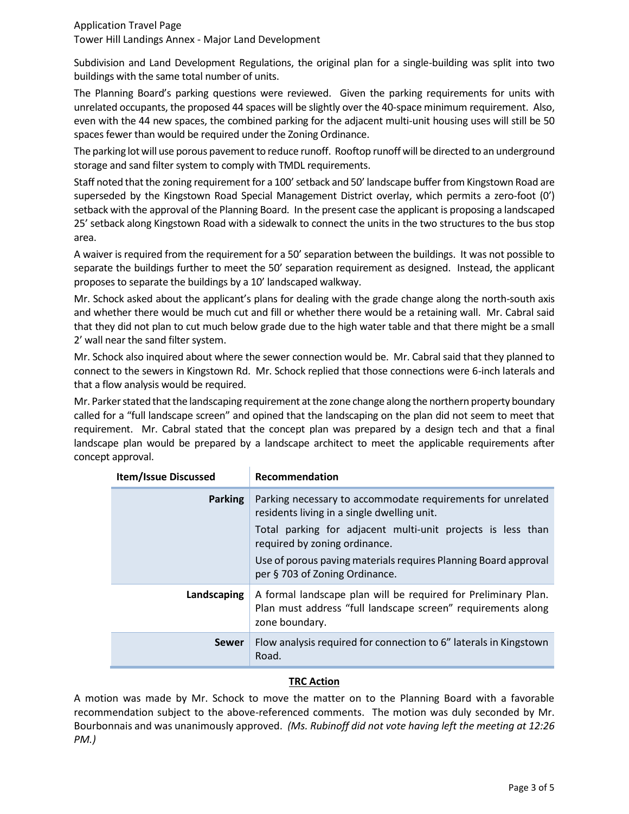### Application Travel Page Tower Hill Landings Annex - Major Land Development

Subdivision and Land Development Regulations, the original plan for a single-building was split into two buildings with the same total number of units.

The Planning Board's parking questions were reviewed. Given the parking requirements for units with unrelated occupants, the proposed 44 spaces will be slightly over the 40-space minimum requirement. Also, even with the 44 new spaces, the combined parking for the adjacent multi-unit housing uses will still be 50 spaces fewer than would be required under the Zoning Ordinance.

The parking lot will use porous pavement to reduce runoff. Rooftop runoff will be directed to an underground storage and sand filter system to comply with TMDL requirements.

Staff noted that the zoning requirement for a 100' setback and 50' landscape buffer from Kingstown Road are superseded by the Kingstown Road Special Management District overlay, which permits a zero-foot (0') setback with the approval of the Planning Board. In the present case the applicant is proposing a landscaped 25' setback along Kingstown Road with a sidewalk to connect the units in the two structures to the bus stop area.

A waiver is required from the requirement for a 50' separation between the buildings. It was not possible to separate the buildings further to meet the 50' separation requirement as designed. Instead, the applicant proposes to separate the buildings by a 10' landscaped walkway.

Mr. Schock asked about the applicant's plans for dealing with the grade change along the north-south axis and whether there would be much cut and fill or whether there would be a retaining wall. Mr. Cabral said that they did not plan to cut much below grade due to the high water table and that there might be a small 2' wall near the sand filter system.

Mr. Schock also inquired about where the sewer connection would be. Mr. Cabral said that they planned to connect to the sewers in Kingstown Rd. Mr. Schock replied that those connections were 6-inch laterals and that a flow analysis would be required.

Mr. Parker stated that the landscaping requirement at the zone change along the northern property boundary called for a "full landscape screen" and opined that the landscaping on the plan did not seem to meet that requirement. Mr. Cabral stated that the concept plan was prepared by a design tech and that a final landscape plan would be prepared by a landscape architect to meet the applicable requirements after concept approval.

| <b>Item/Issue Discussed</b> | Recommendation                                                                                                                                                                                                                                                                                                  |  |  |
|-----------------------------|-----------------------------------------------------------------------------------------------------------------------------------------------------------------------------------------------------------------------------------------------------------------------------------------------------------------|--|--|
| <b>Parking</b>              | Parking necessary to accommodate requirements for unrelated<br>residents living in a single dwelling unit.<br>Total parking for adjacent multi-unit projects is less than<br>required by zoning ordinance.<br>Use of porous paving materials requires Planning Board approval<br>per § 703 of Zoning Ordinance. |  |  |
| Landscaping                 | A formal landscape plan will be required for Preliminary Plan.<br>Plan must address "full landscape screen" requirements along<br>zone boundary.                                                                                                                                                                |  |  |
| <b>Sewer</b>                | Flow analysis required for connection to 6" laterals in Kingstown<br>Road.                                                                                                                                                                                                                                      |  |  |

## **TRC Action**

A motion was made by Mr. Schock to move the matter on to the Planning Board with a favorable recommendation subject to the above-referenced comments. The motion was duly seconded by Mr. Bourbonnais and was unanimously approved. *(Ms. Rubinoff did not vote having left the meeting at 12:26 PM.)*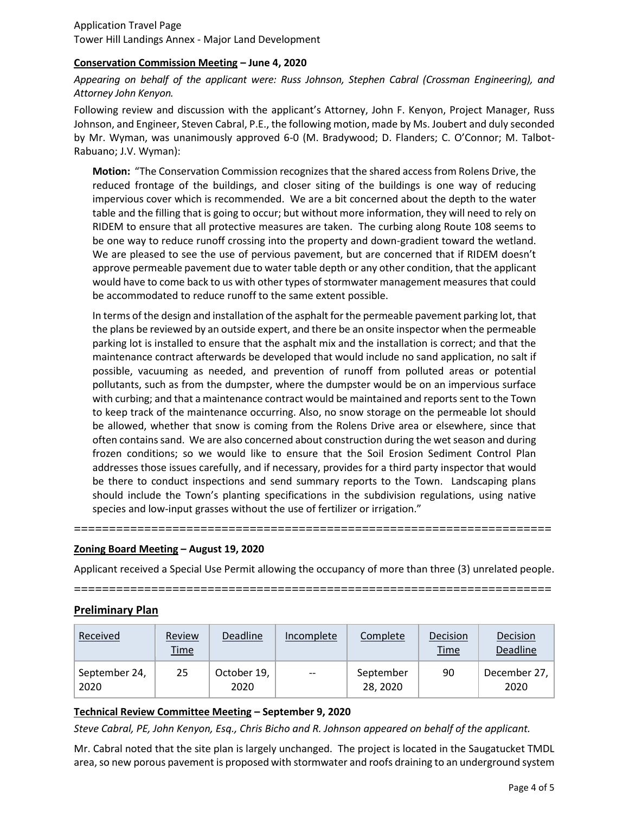## **Conservation Commission Meeting – June 4, 2020**

*Appearing on behalf of the applicant were: Russ Johnson, Stephen Cabral (Crossman Engineering), and Attorney John Kenyon.*

Following review and discussion with the applicant's Attorney, John F. Kenyon, Project Manager, Russ Johnson, and Engineer, Steven Cabral, P.E., the following motion, made by Ms. Joubert and duly seconded by Mr. Wyman, was unanimously approved 6-0 (M. Bradywood; D. Flanders; C. O'Connor; M. Talbot-Rabuano; J.V. Wyman):

**Motion:** "The Conservation Commission recognizes that the shared access from Rolens Drive, the reduced frontage of the buildings, and closer siting of the buildings is one way of reducing impervious cover which is recommended. We are a bit concerned about the depth to the water table and the filling that is going to occur; but without more information, they will need to rely on RIDEM to ensure that all protective measures are taken. The curbing along Route 108 seems to be one way to reduce runoff crossing into the property and down-gradient toward the wetland. We are pleased to see the use of pervious pavement, but are concerned that if RIDEM doesn't approve permeable pavement due to water table depth or any other condition, that the applicant would have to come back to us with other types of stormwater management measures that could be accommodated to reduce runoff to the same extent possible.

In terms of the design and installation of the asphalt for the permeable pavement parking lot, that the plans be reviewed by an outside expert, and there be an onsite inspector when the permeable parking lot is installed to ensure that the asphalt mix and the installation is correct; and that the maintenance contract afterwards be developed that would include no sand application, no salt if possible, vacuuming as needed, and prevention of runoff from polluted areas or potential pollutants, such as from the dumpster, where the dumpster would be on an impervious surface with curbing; and that a maintenance contract would be maintained and reports sent to the Town to keep track of the maintenance occurring. Also, no snow storage on the permeable lot should be allowed, whether that snow is coming from the Rolens Drive area or elsewhere, since that often contains sand. We are also concerned about construction during the wet season and during frozen conditions; so we would like to ensure that the Soil Erosion Sediment Control Plan addresses those issues carefully, and if necessary, provides for a third party inspector that would be there to conduct inspections and send summary reports to the Town. Landscaping plans should include the Town's planting specifications in the subdivision regulations, using native species and low-input grasses without the use of fertilizer or irrigation."

### **Zoning Board Meeting – August 19, 2020**

Applicant received a Special Use Permit allowing the occupancy of more than three (3) unrelated people.

**====================================================================**

**====================================================================**

### **Preliminary Plan**

| Received              | Review<br><u>Time</u> | <b>Deadline</b>     | Incomplete               | Complete             | Decision<br><b>Time</b> | Decision<br>Deadline |
|-----------------------|-----------------------|---------------------|--------------------------|----------------------|-------------------------|----------------------|
| September 24,<br>2020 | 25                    | October 19,<br>2020 | $\overline{\phantom{m}}$ | September<br>28.2020 | 90                      | December 27,<br>2020 |

### **Technical Review Committee Meeting – September 9, 2020**

*Steve Cabral, PE, John Kenyon, Esq., Chris Bicho and R. Johnson appeared on behalf of the applicant.*

Mr. Cabral noted that the site plan is largely unchanged. The project is located in the Saugatucket TMDL area, so new porous pavement is proposed with stormwater and roofs draining to an underground system